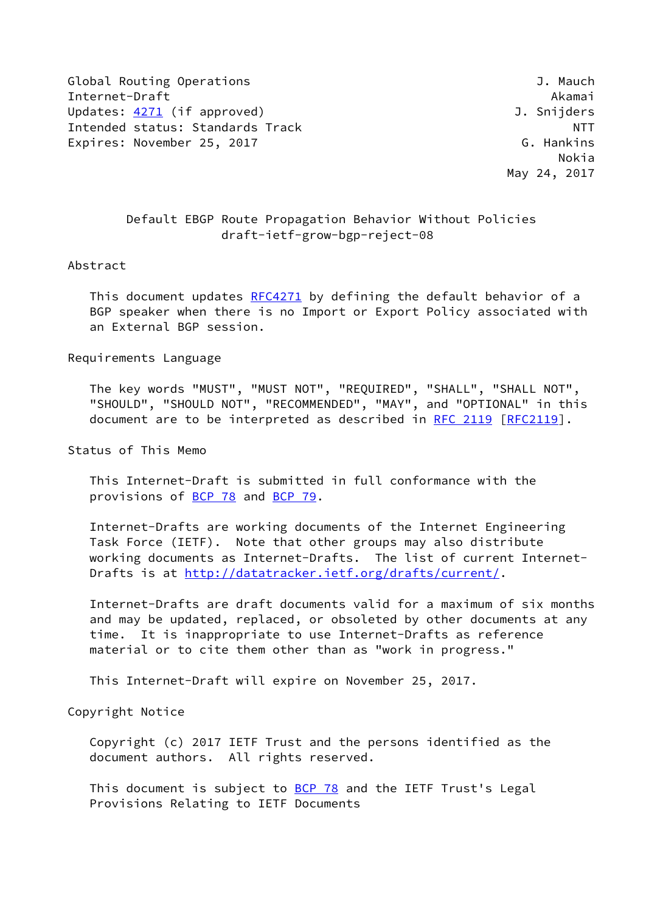Global Routing Operations **J. Manual Struck** Clobal Routing Operations Internet-Draft Akamai Updates: [4271](https://datatracker.ietf.org/doc/pdf/rfc4271) (if approved) and the settlement of the Updates: 4271 (if approved) Intended status: Standards Track NTT Expires: November 25, 2017 G. Hankins

 Nokia May 24, 2017

## Default EBGP Route Propagation Behavior Without Policies draft-ietf-grow-bgp-reject-08

## Abstract

This document updates [RFC4271](https://datatracker.ietf.org/doc/pdf/rfc4271) by defining the default behavior of a BGP speaker when there is no Import or Export Policy associated with an External BGP session.

Requirements Language

 The key words "MUST", "MUST NOT", "REQUIRED", "SHALL", "SHALL NOT", "SHOULD", "SHOULD NOT", "RECOMMENDED", "MAY", and "OPTIONAL" in this document are to be interpreted as described in [RFC 2119 \[RFC2119](https://datatracker.ietf.org/doc/pdf/rfc2119)].

Status of This Memo

 This Internet-Draft is submitted in full conformance with the provisions of [BCP 78](https://datatracker.ietf.org/doc/pdf/bcp78) and [BCP 79](https://datatracker.ietf.org/doc/pdf/bcp79).

 Internet-Drafts are working documents of the Internet Engineering Task Force (IETF). Note that other groups may also distribute working documents as Internet-Drafts. The list of current Internet- Drafts is at<http://datatracker.ietf.org/drafts/current/>.

 Internet-Drafts are draft documents valid for a maximum of six months and may be updated, replaced, or obsoleted by other documents at any time. It is inappropriate to use Internet-Drafts as reference material or to cite them other than as "work in progress."

This Internet-Draft will expire on November 25, 2017.

Copyright Notice

 Copyright (c) 2017 IETF Trust and the persons identified as the document authors. All rights reserved.

This document is subject to **[BCP 78](https://datatracker.ietf.org/doc/pdf/bcp78)** and the IETF Trust's Legal Provisions Relating to IETF Documents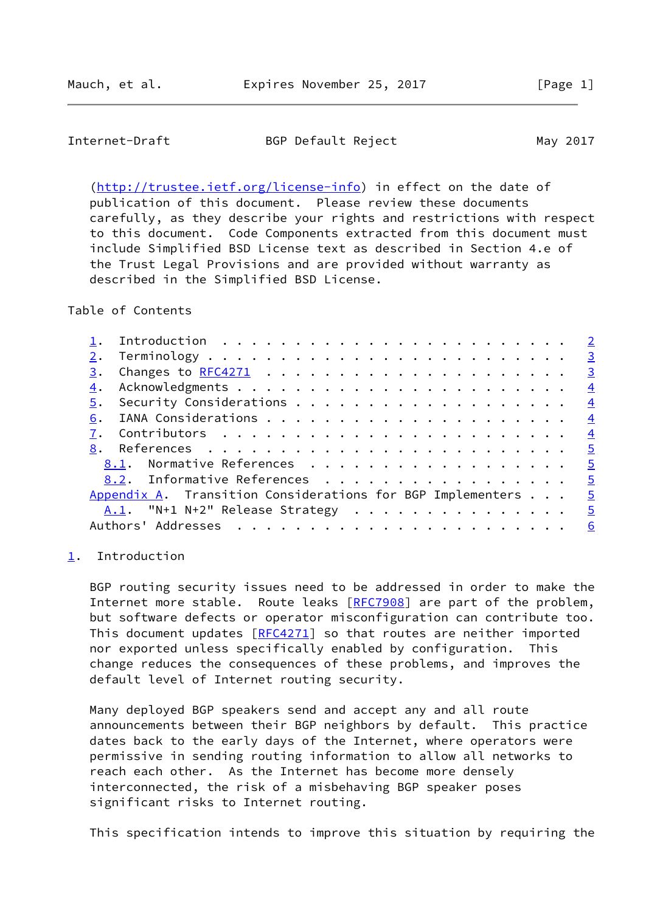<span id="page-1-1"></span>Internet-Draft BGP Default Reject May 2017

 [\(http://trustee.ietf.org/license-info](http://trustee.ietf.org/license-info)) in effect on the date of publication of this document. Please review these documents carefully, as they describe your rights and restrictions with respect to this document. Code Components extracted from this document must include Simplified BSD License text as described in Section 4.e of the Trust Legal Provisions and are provided without warranty as described in the Simplified BSD License.

Table of Contents

| 3. | $\frac{3}{2}$                                                                                                                                                              |
|----|----------------------------------------------------------------------------------------------------------------------------------------------------------------------------|
| 4. | $\overline{4}$                                                                                                                                                             |
|    | $\overline{4}$                                                                                                                                                             |
| 6. | $\overline{4}$                                                                                                                                                             |
|    | $\overline{4}$                                                                                                                                                             |
|    | $\overline{5}$                                                                                                                                                             |
|    |                                                                                                                                                                            |
|    |                                                                                                                                                                            |
|    | $\overline{5}$                                                                                                                                                             |
|    |                                                                                                                                                                            |
|    |                                                                                                                                                                            |
|    | 8.1. Normative References 5<br>8.2. Informative References 5<br>Appendix A. Transition Considerations for BGP Implementers $\ldots$ .<br>A.1. "N+1 N+2" Release Strategy 5 |

## <span id="page-1-0"></span>[1](#page-1-0). Introduction

 BGP routing security issues need to be addressed in order to make the Internet more stable. Route leaks [[RFC7908\]](https://datatracker.ietf.org/doc/pdf/rfc7908) are part of the problem, but software defects or operator misconfiguration can contribute too. This document updates [[RFC4271](https://datatracker.ietf.org/doc/pdf/rfc4271)] so that routes are neither imported nor exported unless specifically enabled by configuration. This change reduces the consequences of these problems, and improves the default level of Internet routing security.

 Many deployed BGP speakers send and accept any and all route announcements between their BGP neighbors by default. This practice dates back to the early days of the Internet, where operators were permissive in sending routing information to allow all networks to reach each other. As the Internet has become more densely interconnected, the risk of a misbehaving BGP speaker poses significant risks to Internet routing.

This specification intends to improve this situation by requiring the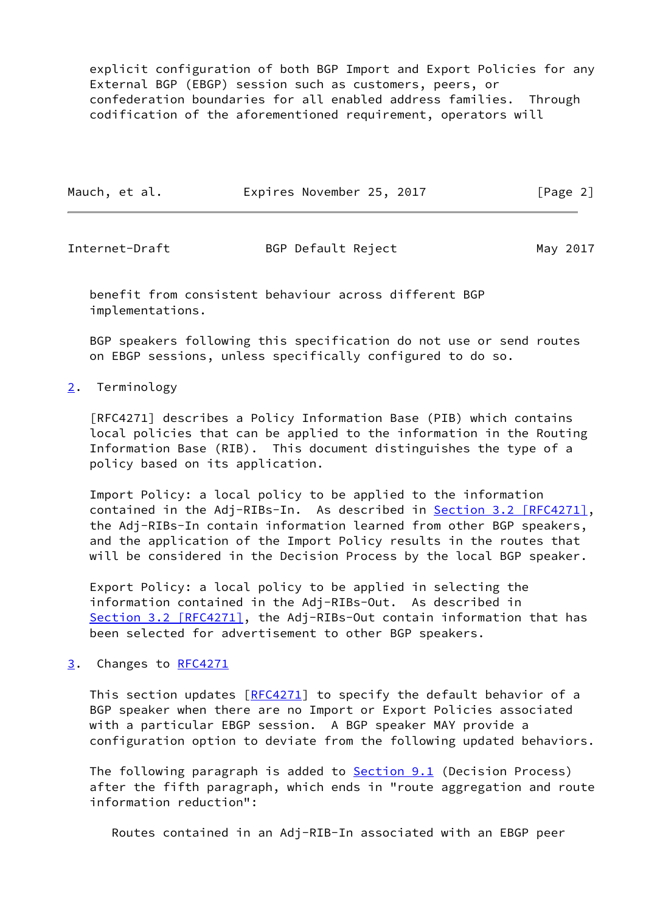explicit configuration of both BGP Import and Export Policies for any External BGP (EBGP) session such as customers, peers, or confederation boundaries for all enabled address families. Through codification of the aforementioned requirement, operators will

| Mauch, et al. | Expires November 25, 2017 | [Page 2] |
|---------------|---------------------------|----------|
|---------------|---------------------------|----------|

<span id="page-2-1"></span>

| Internet-Draft | BGP Default Reject | May 2017 |  |
|----------------|--------------------|----------|--|
|                |                    |          |  |

 benefit from consistent behaviour across different BGP implementations.

 BGP speakers following this specification do not use or send routes on EBGP sessions, unless specifically configured to do so.

<span id="page-2-0"></span>[2](#page-2-0). Terminology

 [RFC4271] describes a Policy Information Base (PIB) which contains local policies that can be applied to the information in the Routing Information Base (RIB). This document distinguishes the type of a policy based on its application.

 Import Policy: a local policy to be applied to the information contained in the Adj-RIBs-In. As described in **Section 3.2 [RFC4271]**, the Adj-RIBs-In contain information learned from other BGP speakers, and the application of the Import Policy results in the routes that will be considered in the Decision Process by the local BGP speaker.

 Export Policy: a local policy to be applied in selecting the information contained in the Adj-RIBs-Out. As described in Section [3.2 \[RFC4271\]](https://datatracker.ietf.org/doc/pdf/rfc4271#section-3.2), the Adj-RIBs-Out contain information that has been selected for advertisement to other BGP speakers.

<span id="page-2-2"></span>[3](#page-2-2). Changes to [RFC4271](https://datatracker.ietf.org/doc/pdf/rfc4271)

This section updates [\[RFC4271](https://datatracker.ietf.org/doc/pdf/rfc4271)] to specify the default behavior of a BGP speaker when there are no Import or Export Policies associated with a particular EBGP session. A BGP speaker MAY provide a configuration option to deviate from the following updated behaviors.

The following paragraph is added to **Section 9.1** (Decision Process) after the fifth paragraph, which ends in "route aggregation and route information reduction":

Routes contained in an Adj-RIB-In associated with an EBGP peer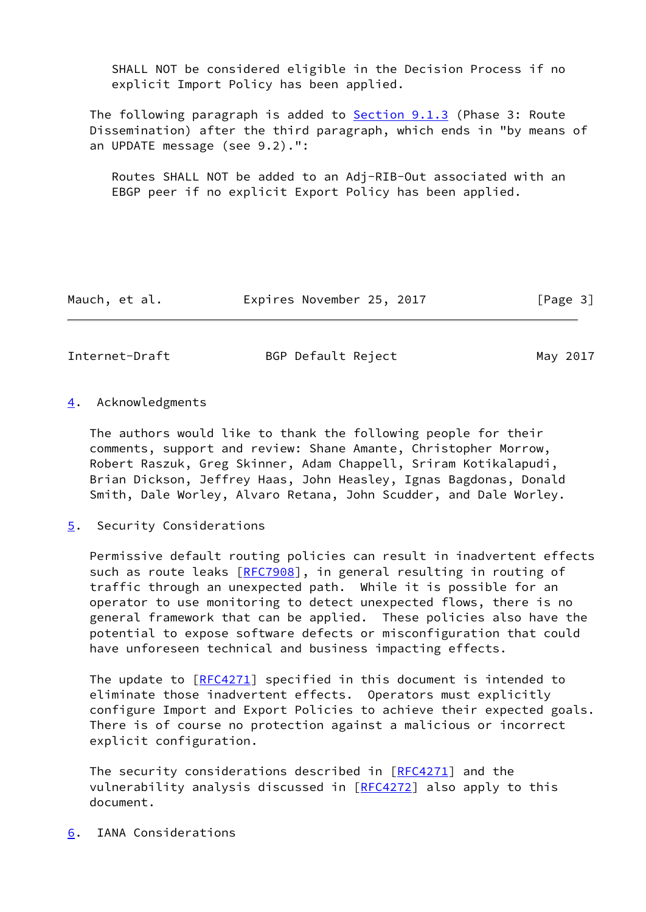SHALL NOT be considered eligible in the Decision Process if no explicit Import Policy has been applied.

The following paragraph is added to **Section 9.1.3** (Phase 3: Route Dissemination) after the third paragraph, which ends in "by means of an UPDATE message (see 9.2).":

 Routes SHALL NOT be added to an Adj-RIB-Out associated with an EBGP peer if no explicit Export Policy has been applied.

Mauch, et al. **Expires November 25, 2017** [Page 3]

<span id="page-3-1"></span>

Internet-Draft BGP Default Reject May 2017

<span id="page-3-0"></span>[4](#page-3-0). Acknowledgments

 The authors would like to thank the following people for their comments, support and review: Shane Amante, Christopher Morrow, Robert Raszuk, Greg Skinner, Adam Chappell, Sriram Kotikalapudi, Brian Dickson, Jeffrey Haas, John Heasley, Ignas Bagdonas, Donald Smith, Dale Worley, Alvaro Retana, John Scudder, and Dale Worley.

<span id="page-3-2"></span>[5](#page-3-2). Security Considerations

 Permissive default routing policies can result in inadvertent effects such as route leaks [\[RFC7908](https://datatracker.ietf.org/doc/pdf/rfc7908)], in general resulting in routing of traffic through an unexpected path. While it is possible for an operator to use monitoring to detect unexpected flows, there is no general framework that can be applied. These policies also have the potential to expose software defects or misconfiguration that could have unforeseen technical and business impacting effects.

The update to [[RFC4271](https://datatracker.ietf.org/doc/pdf/rfc4271)] specified in this document is intended to eliminate those inadvertent effects. Operators must explicitly configure Import and Export Policies to achieve their expected goals. There is of course no protection against a malicious or incorrect explicit configuration.

The security considerations described in  $[RFC4271]$  $[RFC4271]$  and the vulnerability analysis discussed in [\[RFC4272](https://datatracker.ietf.org/doc/pdf/rfc4272)] also apply to this document.

<span id="page-3-3"></span>[6](#page-3-3). IANA Considerations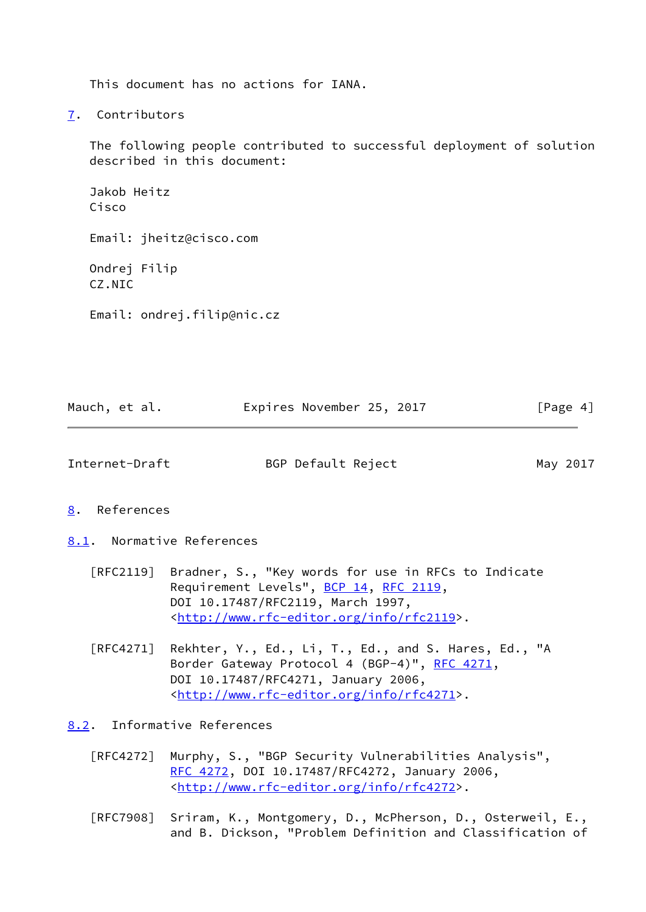This document has no actions for IANA.

<span id="page-4-0"></span>[7](#page-4-0). Contributors

 The following people contributed to successful deployment of solution described in this document:

 Jakob Heitz Cisco Email: jheitz@cisco.com Ondrej Filip CZ.NIC Email: ondrej.filip@nic.cz

| Mauch, et al. |  | Expires November 25, 2017 |  | [Page 4] |
|---------------|--|---------------------------|--|----------|
|---------------|--|---------------------------|--|----------|

<span id="page-4-2"></span>

Internet-Draft BGP Default Reject May 2017

<span id="page-4-1"></span>[8](#page-4-1). References

<span id="page-4-3"></span>[8.1](#page-4-3). Normative References

- [RFC2119] Bradner, S., "Key words for use in RFCs to Indicate Requirement Levels", [BCP 14](https://datatracker.ietf.org/doc/pdf/bcp14), [RFC 2119](https://datatracker.ietf.org/doc/pdf/rfc2119), DOI 10.17487/RFC2119, March 1997, <<http://www.rfc-editor.org/info/rfc2119>>.
- [RFC4271] Rekhter, Y., Ed., Li, T., Ed., and S. Hares, Ed., "A Border Gateway Protocol 4 (BGP-4)", [RFC 4271,](https://datatracker.ietf.org/doc/pdf/rfc4271) DOI 10.17487/RFC4271, January 2006, <<http://www.rfc-editor.org/info/rfc4271>>.

<span id="page-4-4"></span>[8.2](#page-4-4). Informative References

- [RFC4272] Murphy, S., "BGP Security Vulnerabilities Analysis", [RFC 4272,](https://datatracker.ietf.org/doc/pdf/rfc4272) DOI 10.17487/RFC4272, January 2006, <<http://www.rfc-editor.org/info/rfc4272>>.
- [RFC7908] Sriram, K., Montgomery, D., McPherson, D., Osterweil, E., and B. Dickson, "Problem Definition and Classification of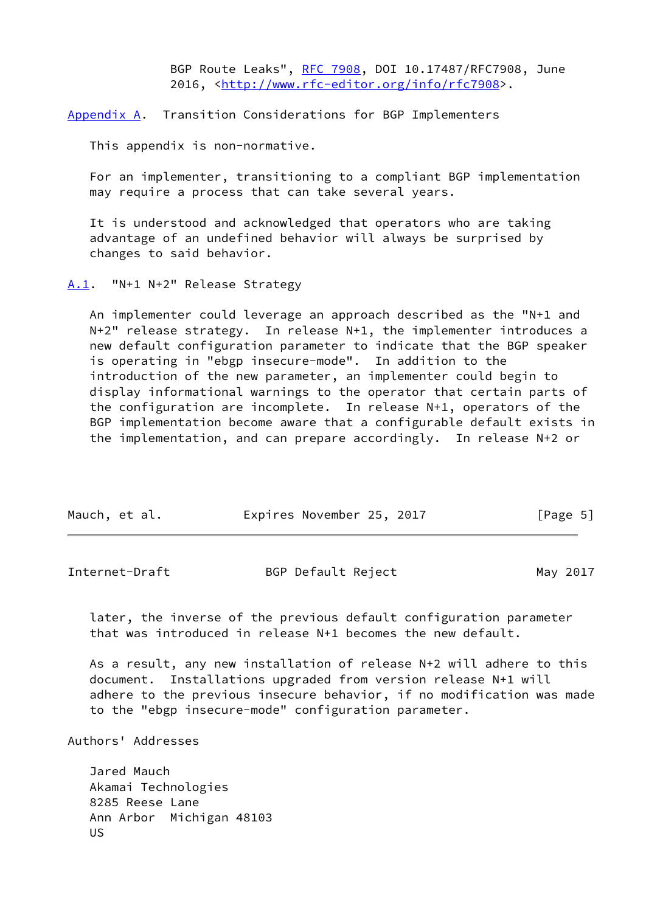BGP Route Leaks", [RFC 7908](https://datatracker.ietf.org/doc/pdf/rfc7908), DOI 10.17487/RFC7908, June 2016, [<http://www.rfc-editor.org/info/rfc7908](http://www.rfc-editor.org/info/rfc7908)>.

<span id="page-5-0"></span>[Appendix A.](#page-5-0) Transition Considerations for BGP Implementers

This appendix is non-normative.

 For an implementer, transitioning to a compliant BGP implementation may require a process that can take several years.

 It is understood and acknowledged that operators who are taking advantage of an undefined behavior will always be surprised by changes to said behavior.

<span id="page-5-1"></span>[A.1](#page-5-1). "N+1 N+2" Release Strategy

 An implementer could leverage an approach described as the "N+1 and N+2" release strategy. In release N+1, the implementer introduces a new default configuration parameter to indicate that the BGP speaker is operating in "ebgp insecure-mode". In addition to the introduction of the new parameter, an implementer could begin to display informational warnings to the operator that certain parts of the configuration are incomplete. In release N+1, operators of the BGP implementation become aware that a configurable default exists in the implementation, and can prepare accordingly. In release N+2 or

| Mauch, et al. |  | Expires November 25, 2017 |  | [Page 5] |  |
|---------------|--|---------------------------|--|----------|--|
|               |  |                           |  |          |  |

<span id="page-5-2"></span>

| Internet-Draft | BGP Default Reject | May 2017 |
|----------------|--------------------|----------|
|                |                    |          |

 later, the inverse of the previous default configuration parameter that was introduced in release N+1 becomes the new default.

 As a result, any new installation of release N+2 will adhere to this document. Installations upgraded from version release N+1 will adhere to the previous insecure behavior, if no modification was made to the "ebgp insecure-mode" configuration parameter.

Authors' Addresses

 Jared Mauch Akamai Technologies 8285 Reese Lane Ann Arbor Michigan 48103 US